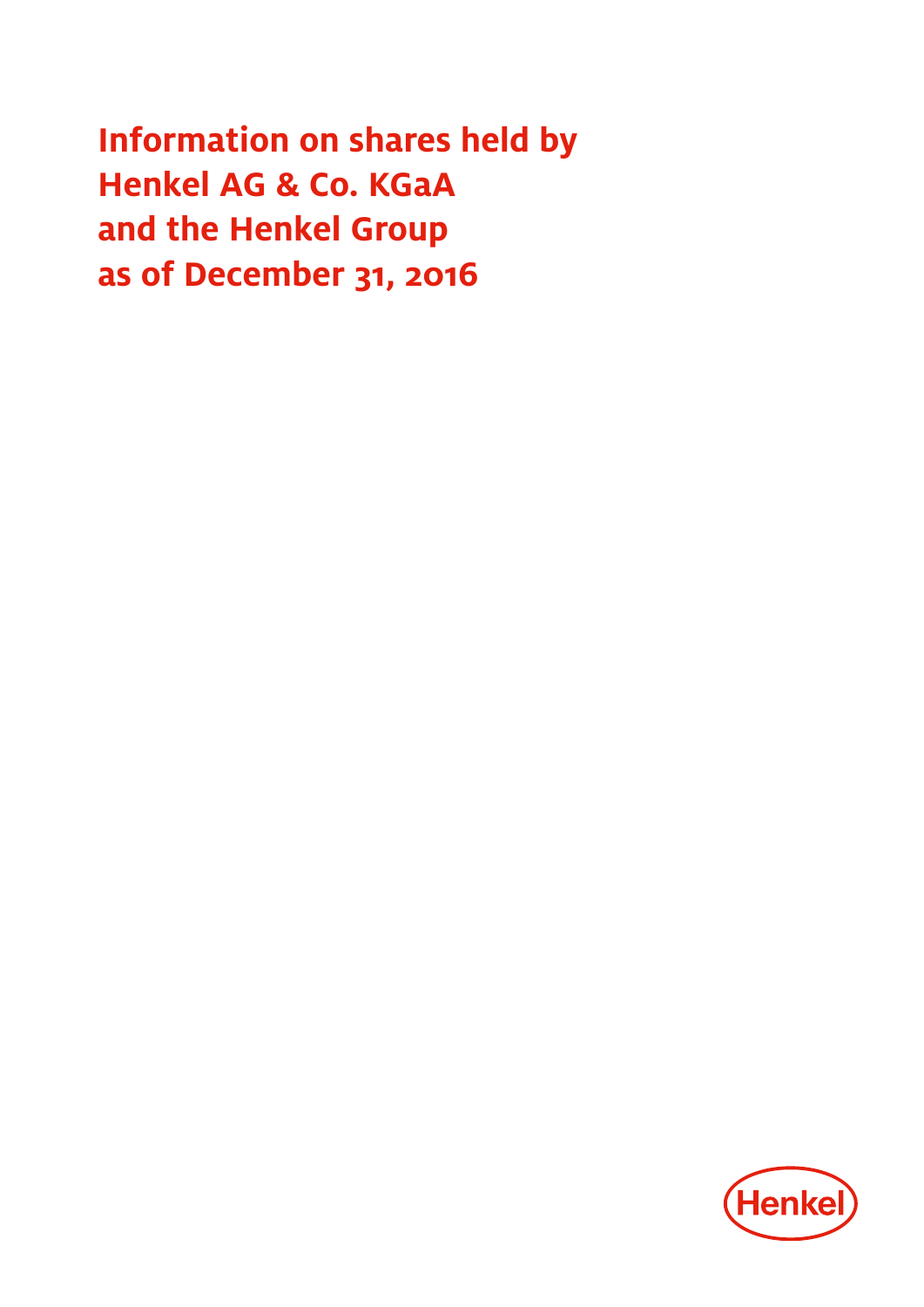**Information on shares held by Henkel AG & Co. KGaA and the Henkel Group as of December 31, 2016**

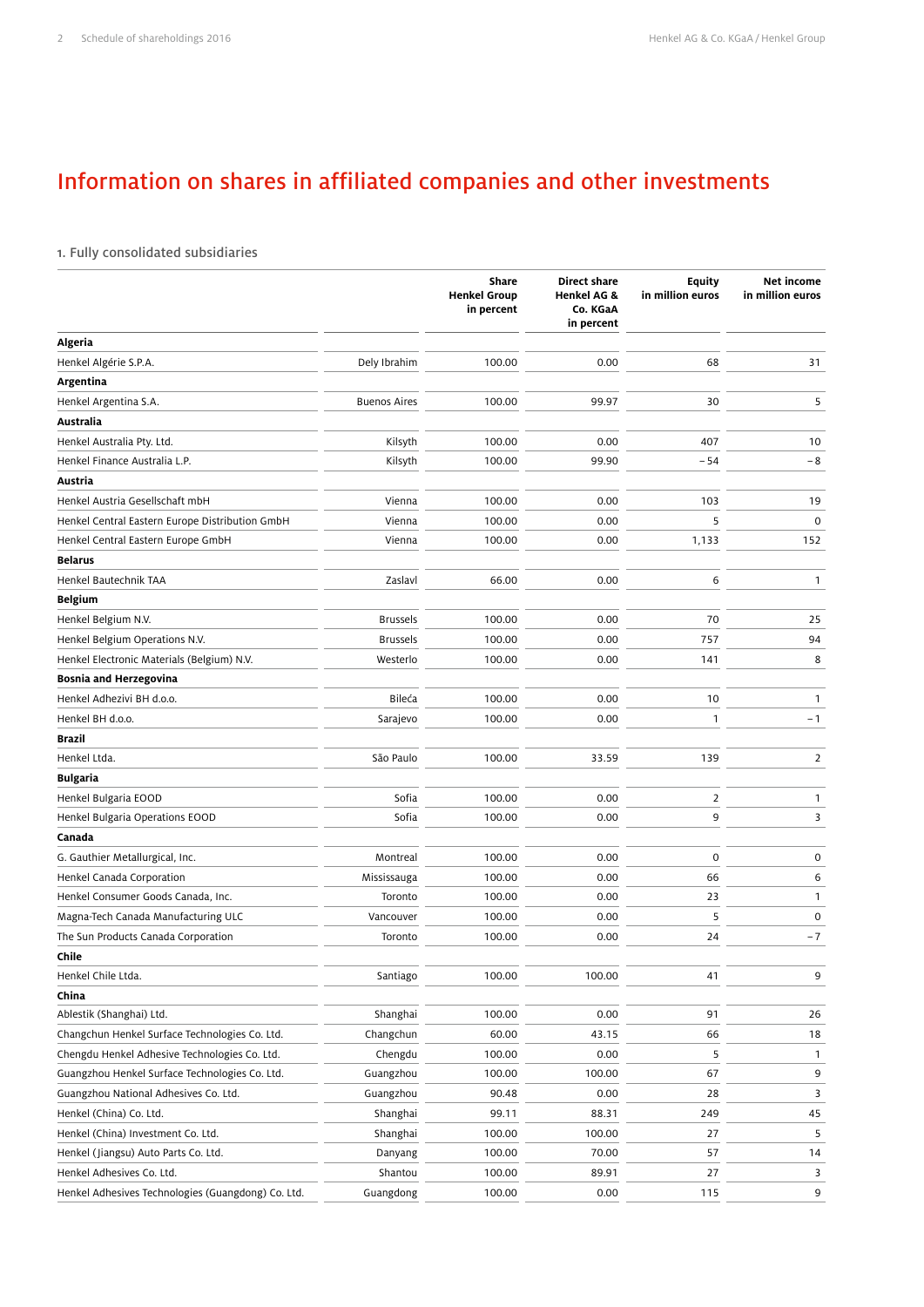# Information on shares in affiliated companies and other investments

## 1. Fully consolidated subsidiaries

|                                                    |                     | Share<br><b>Henkel Group</b><br>in percent | <b>Direct share</b><br><b>Henkel AG &amp;</b><br>Co. KGaA<br>in percent | <b>Equity</b><br>in million euros | Net income<br>in million euros |
|----------------------------------------------------|---------------------|--------------------------------------------|-------------------------------------------------------------------------|-----------------------------------|--------------------------------|
| Algeria                                            |                     |                                            |                                                                         |                                   |                                |
| Henkel Algérie S.P.A.                              | Dely Ibrahim        | 100.00                                     | 0.00                                                                    | 68                                | 31                             |
| Argentina                                          |                     |                                            |                                                                         |                                   |                                |
| Henkel Argentina S.A.                              | <b>Buenos Aires</b> | 100.00                                     | 99.97                                                                   | 30                                | 5                              |
| Australia                                          |                     |                                            |                                                                         |                                   |                                |
| Henkel Australia Pty. Ltd.                         | Kilsyth             | 100.00                                     | 0.00                                                                    | 407                               | 10                             |
| Henkel Finance Australia L.P.                      | Kilsyth             | 100.00                                     | 99.90                                                                   | $-54$                             | $-8$                           |
| Austria                                            |                     |                                            |                                                                         |                                   |                                |
| Henkel Austria Gesellschaft mbH                    | Vienna              | 100.00                                     | 0.00                                                                    | 103                               | 19                             |
| Henkel Central Eastern Europe Distribution GmbH    | Vienna              | 100.00                                     | 0.00                                                                    | 5                                 | $\mathbf 0$                    |
| Henkel Central Eastern Europe GmbH                 | Vienna              | 100.00                                     | 0.00                                                                    | 1,133                             | 152                            |
| <b>Belarus</b>                                     |                     |                                            |                                                                         |                                   |                                |
| Henkel Bautechnik TAA                              | Zaslavl             | 66.00                                      | 0.00                                                                    | 6                                 | $\mathbf{1}$                   |
| <b>Belgium</b>                                     |                     |                                            |                                                                         |                                   |                                |
| Henkel Belgium N.V.                                | <b>Brussels</b>     | 100.00                                     | 0.00                                                                    | 70                                | 25                             |
| Henkel Belgium Operations N.V.                     | <b>Brussels</b>     | 100.00                                     | 0.00                                                                    | 757                               | 94                             |
| Henkel Electronic Materials (Belgium) N.V.         | Westerlo            | 100.00                                     | 0.00                                                                    | 141                               | 8                              |
| Bosnia and Herzegovina                             |                     |                                            |                                                                         |                                   |                                |
| Henkel Adhezivi BH d.o.o.                          | Bileća              | 100.00                                     | 0.00                                                                    | 10                                | $\mathbf{1}$                   |
| Henkel BH d.o.o.                                   | Sarajevo            | 100.00                                     | 0.00                                                                    | $\mathbf{1}$                      | $-1$                           |
| <b>Brazil</b>                                      |                     |                                            |                                                                         |                                   |                                |
| Henkel Ltda.                                       | São Paulo           | 100.00                                     | 33.59                                                                   | 139                               | $\overline{2}$                 |
| Bulgaria                                           |                     |                                            |                                                                         |                                   |                                |
| Henkel Bulgaria EOOD                               | Sofia               | 100.00                                     | 0.00                                                                    | $\overline{2}$                    | $\mathbf{1}$                   |
| Henkel Bulgaria Operations EOOD                    | Sofia               | 100.00                                     | 0.00                                                                    | 9                                 | 3                              |
| Canada                                             |                     |                                            |                                                                         |                                   |                                |
| G. Gauthier Metallurgical, Inc.                    | Montreal            | 100.00                                     | 0.00                                                                    | $\mathbf 0$                       | $\mathsf{O}\xspace$            |
| Henkel Canada Corporation                          | Mississauga         | 100.00                                     | 0.00                                                                    | 66                                | 6                              |
| Henkel Consumer Goods Canada, Inc.                 | Toronto             | 100.00                                     | 0.00                                                                    | 23                                | 1                              |
| Magna-Tech Canada Manufacturing ULC                | Vancouver           | 100.00                                     | 0.00                                                                    | 5                                 | $\mathbf 0$                    |
| The Sun Products Canada Corporation                | Toronto             | 100.00                                     | 0.00                                                                    | 24                                | $-7$                           |
| Chile                                              |                     |                                            |                                                                         |                                   |                                |
| Henkel Chile Ltda.                                 | Santiago            | 100.00                                     | 100.00                                                                  | 41                                | 9                              |
| China                                              |                     |                                            |                                                                         |                                   |                                |
| Ablestik (Shanghai) Ltd.                           | Shanghai            | 100.00                                     | 0.00                                                                    | 91                                | 26                             |
| Changchun Henkel Surface Technologies Co. Ltd.     | Changchun           | 60.00                                      | 43.15                                                                   | 66                                | 18                             |
| Chengdu Henkel Adhesive Technologies Co. Ltd.      | Chengdu             | 100.00                                     | 0.00                                                                    | 5                                 | 1                              |
| Guangzhou Henkel Surface Technologies Co. Ltd.     | Guangzhou           | 100.00                                     | 100.00                                                                  | 67                                | 9                              |
| Guangzhou National Adhesives Co. Ltd.              | Guangzhou           | 90.48                                      | 0.00                                                                    | 28                                | 3                              |
| Henkel (China) Co. Ltd.                            | Shanghai            | 99.11                                      | 88.31                                                                   | 249                               | 45                             |
| Henkel (China) Investment Co. Ltd.                 | Shanghai            | 100.00                                     | 100.00                                                                  | 27                                | 5                              |
| Henkel (Jiangsu) Auto Parts Co. Ltd.               | Danyang             | 100.00                                     | 70.00                                                                   | 57                                | 14                             |
| Henkel Adhesives Co. Ltd.                          | Shantou             | 100.00                                     | 89.91                                                                   | 27                                | 3                              |
| Henkel Adhesives Technologies (Guangdong) Co. Ltd. | Guangdong           | 100.00                                     | 0.00                                                                    | 115                               | 9                              |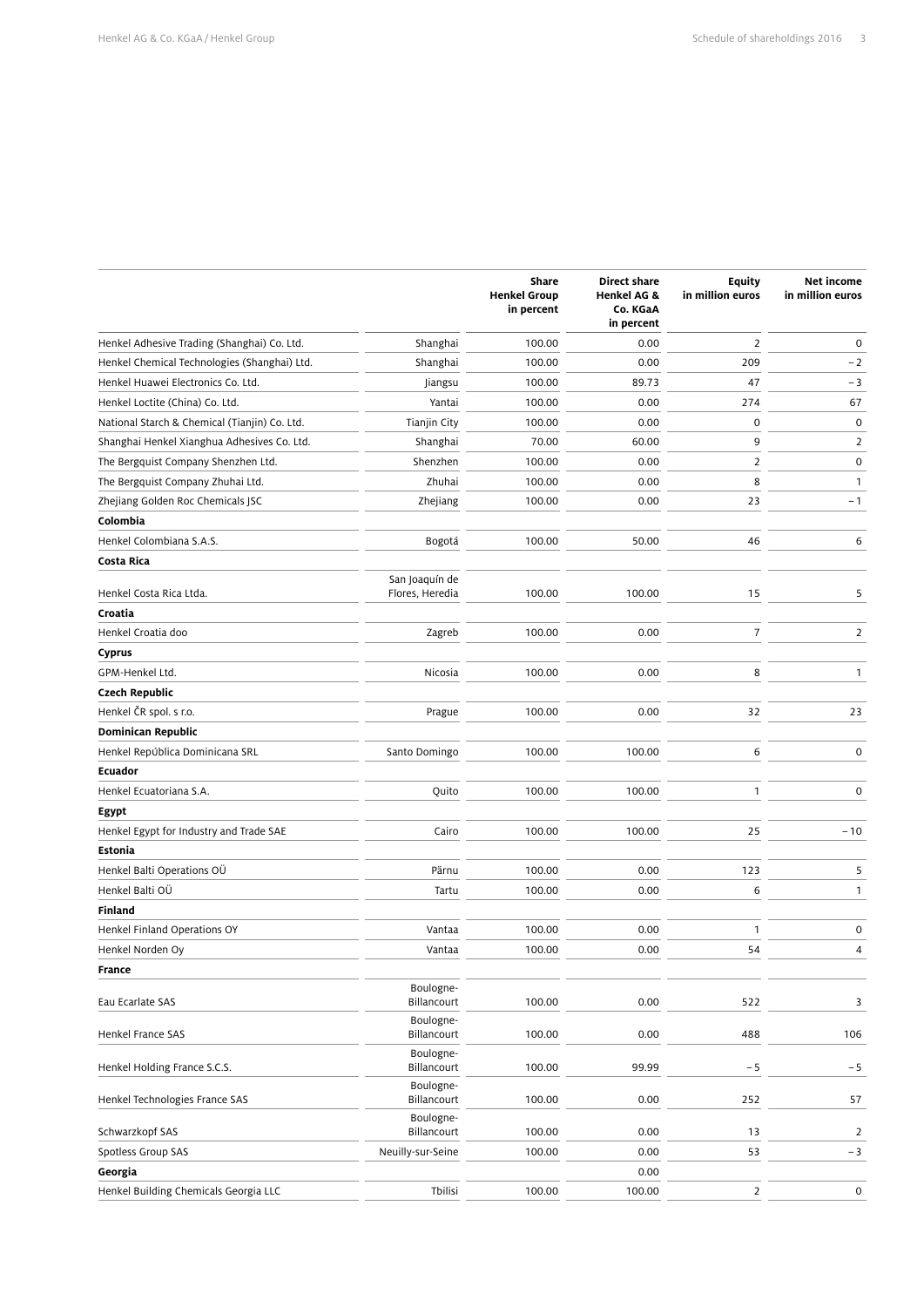|                                               |                                   | Share<br><b>Henkel Group</b><br>in percent | <b>Direct share</b><br>Henkel AG &<br>Co. KGaA<br>in percent | <b>Equity</b><br>in million euros | Net income<br>in million euros |
|-----------------------------------------------|-----------------------------------|--------------------------------------------|--------------------------------------------------------------|-----------------------------------|--------------------------------|
| Henkel Adhesive Trading (Shanghai) Co. Ltd.   | Shanghai                          | 100.00                                     | 0.00                                                         | $\overline{2}$                    | $\mathbf 0$                    |
| Henkel Chemical Technologies (Shanghai) Ltd.  | Shanghai                          | 100.00                                     | 0.00                                                         | 209                               | $-2$                           |
| Henkel Huawei Electronics Co. Ltd.            | Jiangsu                           | 100.00                                     | 89.73                                                        | 47                                | - 3                            |
| Henkel Loctite (China) Co. Ltd.               | Yantai                            | 100.00                                     | 0.00                                                         | 274                               | 67                             |
| National Starch & Chemical (Tianjin) Co. Ltd. | Tianjin City                      | 100.00                                     | 0.00                                                         | 0                                 | $\pmb{0}$                      |
| Shanghai Henkel Xianghua Adhesives Co. Ltd.   | Shanghai                          | 70.00                                      | 60.00                                                        | 9                                 | 2                              |
| The Bergquist Company Shenzhen Ltd.           | Shenzhen                          | 100.00                                     | 0.00                                                         | $\overline{2}$                    | $\pmb{0}$                      |
| The Bergquist Company Zhuhai Ltd.             | Zhuhai                            | 100.00                                     | 0.00                                                         | 8                                 | $\mathbf{1}$                   |
| Zhejiang Golden Roc Chemicals JSC             | Zhejiang                          | 100.00                                     | 0.00                                                         | 23                                | -1                             |
| Colombia                                      |                                   |                                            |                                                              |                                   |                                |
| Henkel Colombiana S.A.S.                      | Bogotá                            | 100.00                                     | 50.00                                                        | 46                                | 6                              |
| Costa Rica                                    |                                   |                                            |                                                              |                                   |                                |
| Henkel Costa Rica Ltda.                       | San Joaquín de<br>Flores, Heredia | 100.00                                     | 100.00                                                       | 15                                | 5                              |
| Croatia                                       |                                   |                                            |                                                              |                                   |                                |
| Henkel Croatia doo                            | Zagreb                            | 100.00                                     | 0.00                                                         | $\overline{7}$                    | $\overline{2}$                 |
| <b>Cyprus</b>                                 |                                   |                                            |                                                              |                                   |                                |
| GPM-Henkel Ltd.                               | Nicosia                           | 100.00                                     | 0.00                                                         | 8                                 | $\mathbf{1}$                   |
| <b>Czech Republic</b>                         |                                   |                                            |                                                              |                                   |                                |
| Henkel ČR spol. s r.o.                        | Prague                            | 100.00                                     | 0.00                                                         | 32                                | 23                             |
| <b>Dominican Republic</b>                     |                                   |                                            |                                                              |                                   |                                |
| Henkel República Dominicana SRL               | Santo Domingo                     | 100.00                                     | 100.00                                                       | 6                                 | $\mathsf 0$                    |
| <b>Ecuador</b>                                |                                   |                                            |                                                              |                                   |                                |
| Henkel Ecuatoriana S.A.                       | Quito                             | 100.00                                     | 100.00                                                       | $\mathbf{1}$                      | 0                              |
| Egypt                                         |                                   |                                            |                                                              |                                   |                                |
| Henkel Egypt for Industry and Trade SAE       | Cairo                             | 100.00                                     | 100.00                                                       | 25                                | $-10$                          |
| Estonia                                       |                                   |                                            |                                                              |                                   |                                |
| Henkel Balti Operations OÜ                    | Pärnu                             | 100.00                                     | 0.00                                                         | 123                               | 5                              |
| Henkel Balti OÜ                               | Tartu                             | 100.00                                     | 0.00                                                         | 6                                 | 1                              |
| <b>Finland</b>                                |                                   |                                            |                                                              |                                   |                                |
| Henkel Finland Operations OY                  | Vantaa                            | 100.00                                     | 0.00                                                         | $\mathbf{1}$                      | $\mathsf 0$                    |
| Henkel Norden Oy                              | Vantaa                            | 100.00                                     | 0.00                                                         | 54                                | 4                              |
| <b>France</b>                                 |                                   |                                            |                                                              |                                   |                                |
| Eau Ecarlate SAS                              | Boulogne-<br>Billancourt          | 100.00                                     | 0.00                                                         | 522                               | 3                              |
| Henkel France SAS                             | Boulogne-<br>Billancourt          | 100.00                                     | 0.00                                                         | 488                               | 106                            |
| Henkel Holding France S.C.S.                  | Boulogne-<br>Billancourt          | 100.00                                     | 99.99                                                        | $-5$                              | $-5$                           |
| Henkel Technologies France SAS                | Boulogne-<br>Billancourt          | 100.00                                     | 0.00                                                         | 252                               | 57                             |
| Schwarzkopf SAS                               | Boulogne-<br>Billancourt          | 100.00                                     | 0.00                                                         | 13                                | $\overline{2}$                 |
| Spotless Group SAS                            | Neuilly-sur-Seine                 | 100.00                                     | 0.00                                                         | 53                                | $-3$                           |
| Georgia                                       |                                   |                                            | 0.00                                                         |                                   |                                |
| Henkel Building Chemicals Georgia LLC         | Tbilisi                           | 100.00                                     | 100.00                                                       | $\overline{2}$                    | $\mathsf{O}$                   |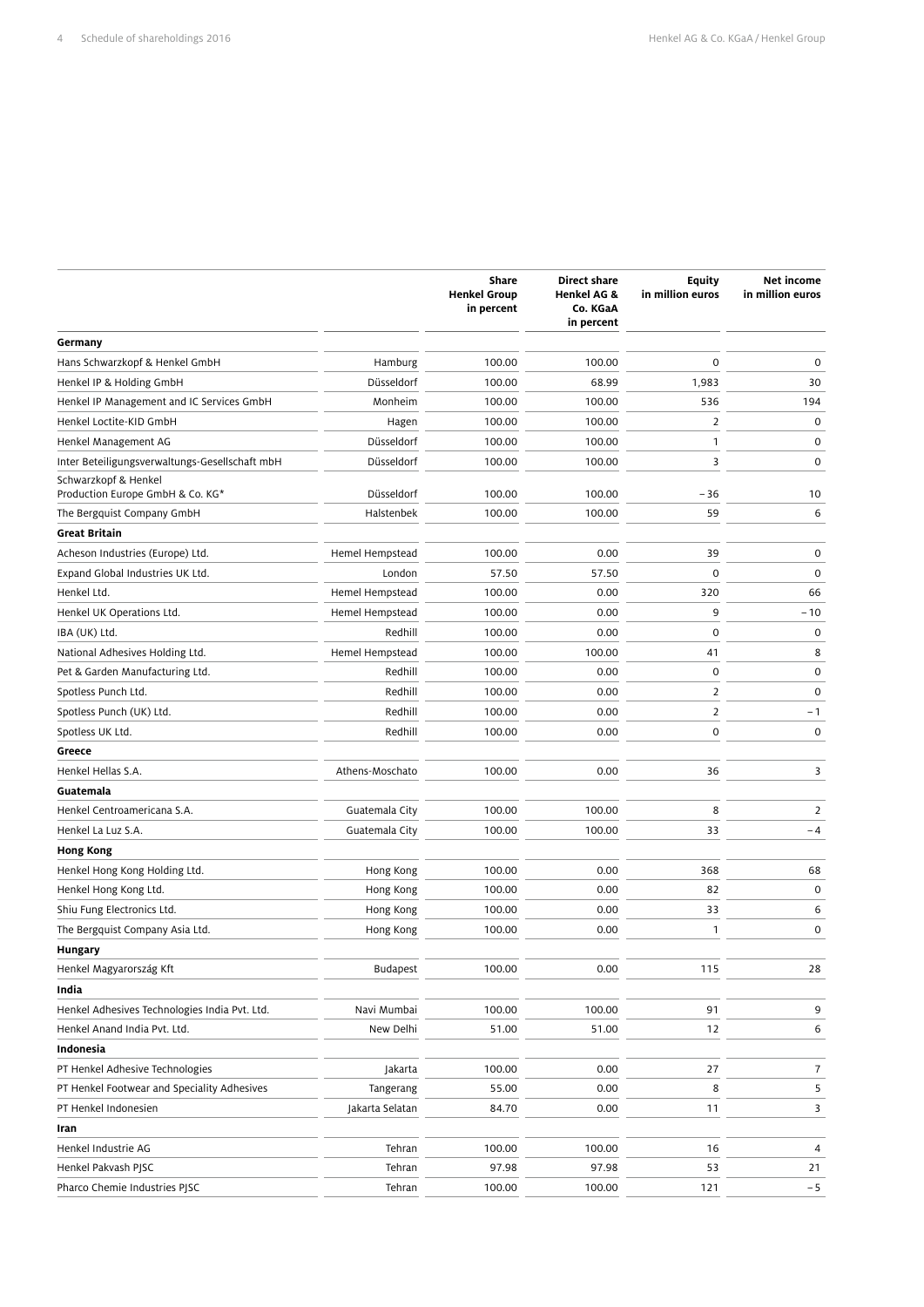|                                                |                 | <b>Share</b><br><b>Henkel Group</b><br>in percent | <b>Direct share</b><br><b>Henkel AG &amp;</b><br>Co. KGaA<br>in percent | Equity<br>in million euros | Net income<br>in million euros |
|------------------------------------------------|-----------------|---------------------------------------------------|-------------------------------------------------------------------------|----------------------------|--------------------------------|
| Germany                                        |                 |                                                   |                                                                         |                            |                                |
| Hans Schwarzkopf & Henkel GmbH                 | Hamburg         | 100.00                                            | 100.00                                                                  | $\mathbf 0$                | $\mathbf 0$                    |
| Henkel IP & Holding GmbH                       | Düsseldorf      | 100.00                                            | 68.99                                                                   | 1,983                      | 30                             |
| Henkel IP Management and IC Services GmbH      | Monheim         | 100.00                                            | 100.00                                                                  | 536                        | 194                            |
| Henkel Loctite-KID GmbH                        | Hagen           | 100.00                                            | 100.00                                                                  | 2                          | 0                              |
| Henkel Management AG                           | Düsseldorf      | 100.00                                            | 100.00                                                                  | 1                          | 0                              |
| Inter Beteiligungsverwaltungs-Gesellschaft mbH | Düsseldorf      | 100.00                                            | 100.00                                                                  | 3                          | 0                              |
| Schwarzkopf & Henkel                           |                 |                                                   |                                                                         |                            |                                |
| Production Europe GmbH & Co. KG*               | Düsseldorf      | 100.00                                            | 100.00                                                                  | $-36$                      | 10                             |
| The Bergquist Company GmbH                     | Halstenbek      | 100.00                                            | 100.00                                                                  | 59                         | 6                              |
| Great Britain                                  |                 |                                                   |                                                                         |                            |                                |
| Acheson Industries (Europe) Ltd.               | Hemel Hempstead | 100.00                                            | 0.00                                                                    | 39                         | 0                              |
| Expand Global Industries UK Ltd.               | London          | 57.50                                             | 57.50                                                                   | $\mathbf 0$                | 0                              |
| Henkel Ltd.                                    | Hemel Hempstead | 100.00                                            | 0.00                                                                    | 320                        | 66                             |
| Henkel UK Operations Ltd.                      | Hemel Hempstead | 100.00                                            | 0.00                                                                    | 9                          | $-10$                          |
| IBA (UK) Ltd.                                  | Redhill         | 100.00                                            | 0.00                                                                    | $\mathbf 0$                | $\mathbf 0$                    |
| National Adhesives Holding Ltd.                | Hemel Hempstead | 100.00                                            | 100.00                                                                  | 41                         | 8                              |
| Pet & Garden Manufacturing Ltd.                | Redhill         | 100.00                                            | 0.00                                                                    | 0                          | $\mathbf 0$                    |
| Spotless Punch Ltd.                            | Redhill         | 100.00                                            | 0.00                                                                    | 2                          | $\mathbf 0$                    |
| Spotless Punch (UK) Ltd.                       | Redhill         | 100.00                                            | 0.00                                                                    | 2                          | $-1$                           |
| Spotless UK Ltd.                               | Redhill         | 100.00                                            | 0.00                                                                    | $\mathbf 0$                | $\mathbf 0$                    |
| Greece                                         |                 |                                                   |                                                                         |                            |                                |
| Henkel Hellas S.A.                             | Athens-Moschato | 100.00                                            | 0.00                                                                    | 36                         | 3                              |
| Guatemala                                      |                 |                                                   |                                                                         |                            |                                |
| Henkel Centroamericana S.A.                    | Guatemala City  | 100.00                                            | 100.00                                                                  | 8                          | 2                              |
| Henkel La Luz S.A.                             | Guatemala City  | 100.00                                            | 100.00                                                                  | 33                         | $-4$                           |
| <b>Hong Kong</b>                               |                 |                                                   |                                                                         |                            |                                |
| Henkel Hong Kong Holding Ltd.                  | Hong Kong       | 100.00                                            | 0.00                                                                    | 368                        | 68                             |
| Henkel Hong Kong Ltd.                          | Hong Kong       | 100.00                                            | 0.00                                                                    | 82                         | 0                              |
| Shiu Fung Electronics Ltd.                     | Hong Kong       | 100.00                                            | 0.00                                                                    | 33                         | 6                              |
| The Bergquist Company Asia Ltd.                | Hong Kong       | 100.00                                            | 0.00                                                                    | $\mathbf{1}$               | $\mathbf 0$                    |
| Hungary                                        |                 |                                                   |                                                                         |                            |                                |
| Henkel Magyarország Kft                        | Budapest        | 100.00                                            | 0.00                                                                    | 115                        | 28                             |
| India                                          |                 |                                                   |                                                                         |                            |                                |
| Henkel Adhesives Technologies India Pvt. Ltd.  | Navi Mumbai     | 100.00                                            | 100.00                                                                  | 91                         | 9                              |
| Henkel Anand India Pvt. Ltd.                   | New Delhi       | 51.00                                             | 51.00                                                                   | 12                         | 6                              |
| Indonesia                                      |                 |                                                   |                                                                         |                            |                                |
| PT Henkel Adhesive Technologies                | Jakarta         | 100.00                                            | 0.00                                                                    | 27                         | $\overline{7}$                 |
| PT Henkel Footwear and Speciality Adhesives    | Tangerang       | 55.00                                             | 0.00                                                                    | 8                          | 5                              |
| PT Henkel Indonesien                           | Jakarta Selatan | 84.70                                             | 0.00                                                                    | 11                         | 3                              |
| Iran                                           |                 |                                                   |                                                                         |                            |                                |
| Henkel Industrie AG                            | Tehran          | 100.00                                            | 100.00                                                                  | 16                         | 4                              |
| Henkel Pakvash PJSC                            | Tehran          | 97.98                                             | 97.98                                                                   | 53                         | 21                             |
| Pharco Chemie Industries PJSC                  | Tehran          | 100.00                                            | 100.00                                                                  | 121                        | $-5$                           |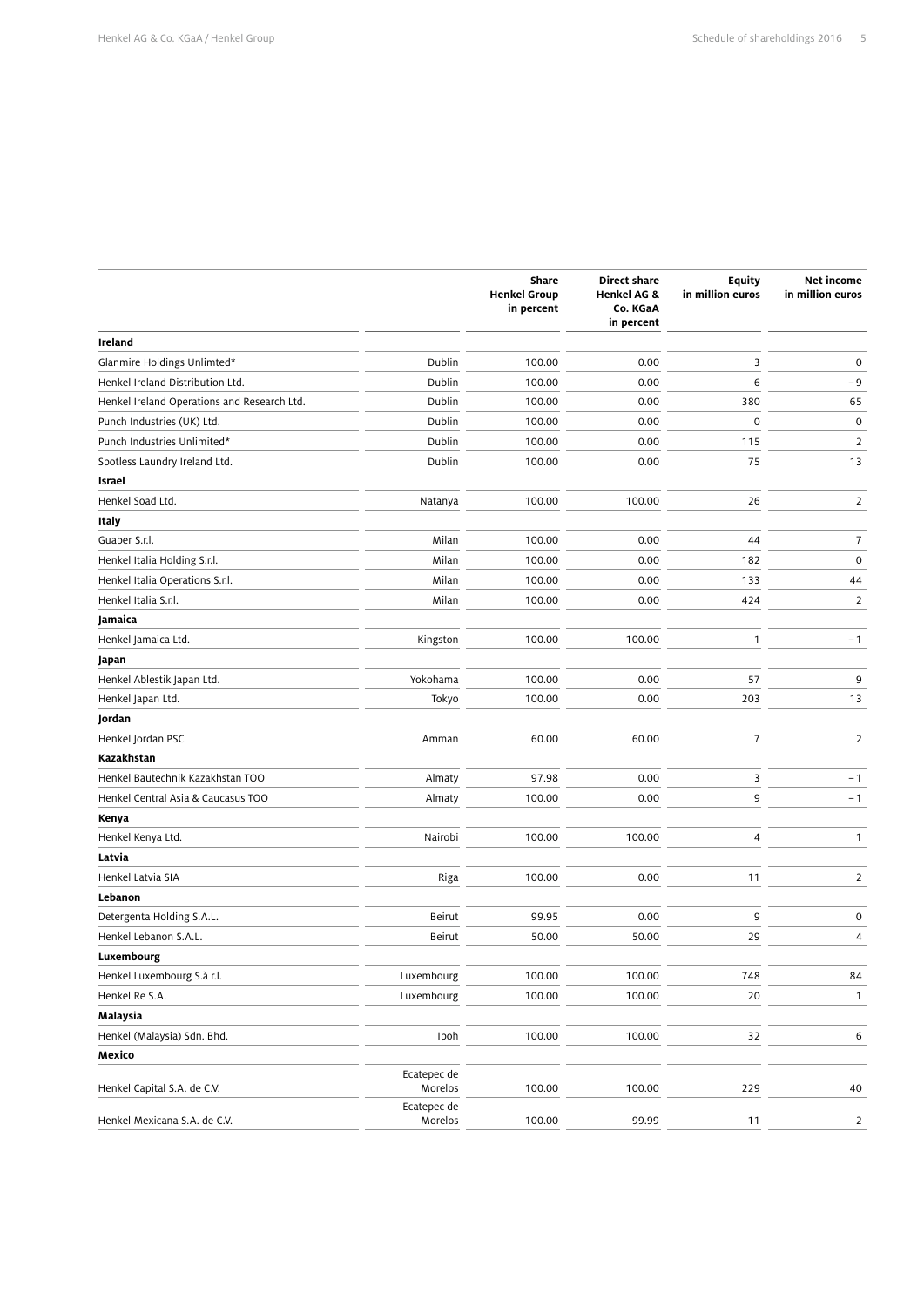|                                             |                        | Share<br><b>Henkel Group</b><br>in percent | <b>Direct share</b><br><b>Henkel AG &amp;</b><br>Co. KGaA<br>in percent | Equity<br>in million euros | Net income<br>in million euros |
|---------------------------------------------|------------------------|--------------------------------------------|-------------------------------------------------------------------------|----------------------------|--------------------------------|
| <b>Ireland</b>                              |                        |                                            |                                                                         |                            |                                |
| Glanmire Holdings Unlimted*                 | Dublin                 | 100.00                                     | 0.00                                                                    | 3                          | $\mathbf 0$                    |
| Henkel Ireland Distribution Ltd.            | Dublin                 | 100.00                                     | 0.00                                                                    | 6                          | -9                             |
| Henkel Ireland Operations and Research Ltd. | Dublin                 | 100.00                                     | 0.00                                                                    | 380                        | 65                             |
| Punch Industries (UK) Ltd.                  | Dublin                 | 100.00                                     | 0.00                                                                    | $\mathbf 0$                | 0                              |
| Punch Industries Unlimited*                 | Dublin                 | 100.00                                     | 0.00                                                                    | 115                        | $\overline{2}$                 |
| Spotless Laundry Ireland Ltd.               | Dublin                 | 100.00                                     | 0.00                                                                    | 75                         | 13                             |
| Israel                                      |                        |                                            |                                                                         |                            |                                |
| Henkel Soad Ltd.                            | Natanya                | 100.00                                     | 100.00                                                                  | 26                         | $\overline{2}$                 |
| Italy                                       |                        |                                            |                                                                         |                            |                                |
| Guaber S.r.l.                               | Milan                  | 100.00                                     | 0.00                                                                    | 44                         | $\overline{7}$                 |
| Henkel Italia Holding S.r.l.                | Milan                  | 100.00                                     | 0.00                                                                    | 182                        | $\mathsf{O}\xspace$            |
| Henkel Italia Operations S.r.l.             | Milan                  | 100.00                                     | 0.00                                                                    | 133                        | 44                             |
| Henkel Italia S.r.l.                        | Milan                  | 100.00                                     | 0.00                                                                    | 424                        | $\overline{2}$                 |
| Jamaica                                     |                        |                                            |                                                                         |                            |                                |
| Henkel Jamaica Ltd.                         | Kingston               | 100.00                                     | 100.00                                                                  | $\mathbf{1}$               | $-1$                           |
| Japan                                       |                        |                                            |                                                                         |                            |                                |
| Henkel Ablestik Japan Ltd.                  | Yokohama               | 100.00                                     | 0.00                                                                    | 57                         | 9                              |
| Henkel Japan Ltd.                           | Tokyo                  | 100.00                                     | 0.00                                                                    | 203                        | 13                             |
| Jordan                                      |                        |                                            |                                                                         |                            |                                |
| Henkel Jordan PSC                           | Amman                  | 60.00                                      | 60.00                                                                   | $\overline{7}$             | $\overline{2}$                 |
| Kazakhstan                                  |                        |                                            |                                                                         |                            |                                |
| Henkel Bautechnik Kazakhstan TOO            | Almaty                 | 97.98                                      | 0.00                                                                    | 3                          | $-1$                           |
| Henkel Central Asia & Caucasus TOO          | Almaty                 | 100.00                                     | 0.00                                                                    | 9                          | $-1$                           |
| Kenya                                       |                        |                                            |                                                                         |                            |                                |
| Henkel Kenya Ltd.                           | Nairobi                | 100.00                                     | 100.00                                                                  | 4                          | $\mathbf{1}$                   |
| Latvia                                      |                        |                                            |                                                                         |                            |                                |
| Henkel Latvia SIA                           | Riga                   | 100.00                                     | 0.00                                                                    | 11                         | $\overline{2}$                 |
| Lebanon                                     |                        |                                            |                                                                         |                            |                                |
| Detergenta Holding S.A.L.                   | <b>Beirut</b>          | 99.95                                      | 0.00                                                                    | 9                          | $\mathsf{O}\xspace$            |
| Henkel Lebanon S.A.L.                       | <b>Beirut</b>          | 50.00                                      | 50.00                                                                   | 29                         | 4                              |
| Luxembourg                                  |                        |                                            |                                                                         |                            |                                |
| Henkel Luxembourg S.à r.l.                  | Luxembourg             | 100.00                                     | 100.00                                                                  | 748                        | 84                             |
| Henkel Re S.A.                              | Luxembourg             | 100.00                                     | 100.00                                                                  | 20                         | $\mathbf{1}$                   |
| Malaysia                                    |                        |                                            |                                                                         |                            |                                |
| Henkel (Malaysia) Sdn. Bhd.                 | Ipoh                   | 100.00                                     | 100.00                                                                  | 32                         | 6                              |
| Mexico                                      |                        |                                            |                                                                         |                            |                                |
| Henkel Capital S.A. de C.V.                 | Ecatepec de<br>Morelos | 100.00                                     | 100.00                                                                  | 229                        | 40                             |
| Henkel Mexicana S.A. de C.V.                | Ecatepec de<br>Morelos | 100.00                                     | 99.99                                                                   | 11                         | $\overline{2}$                 |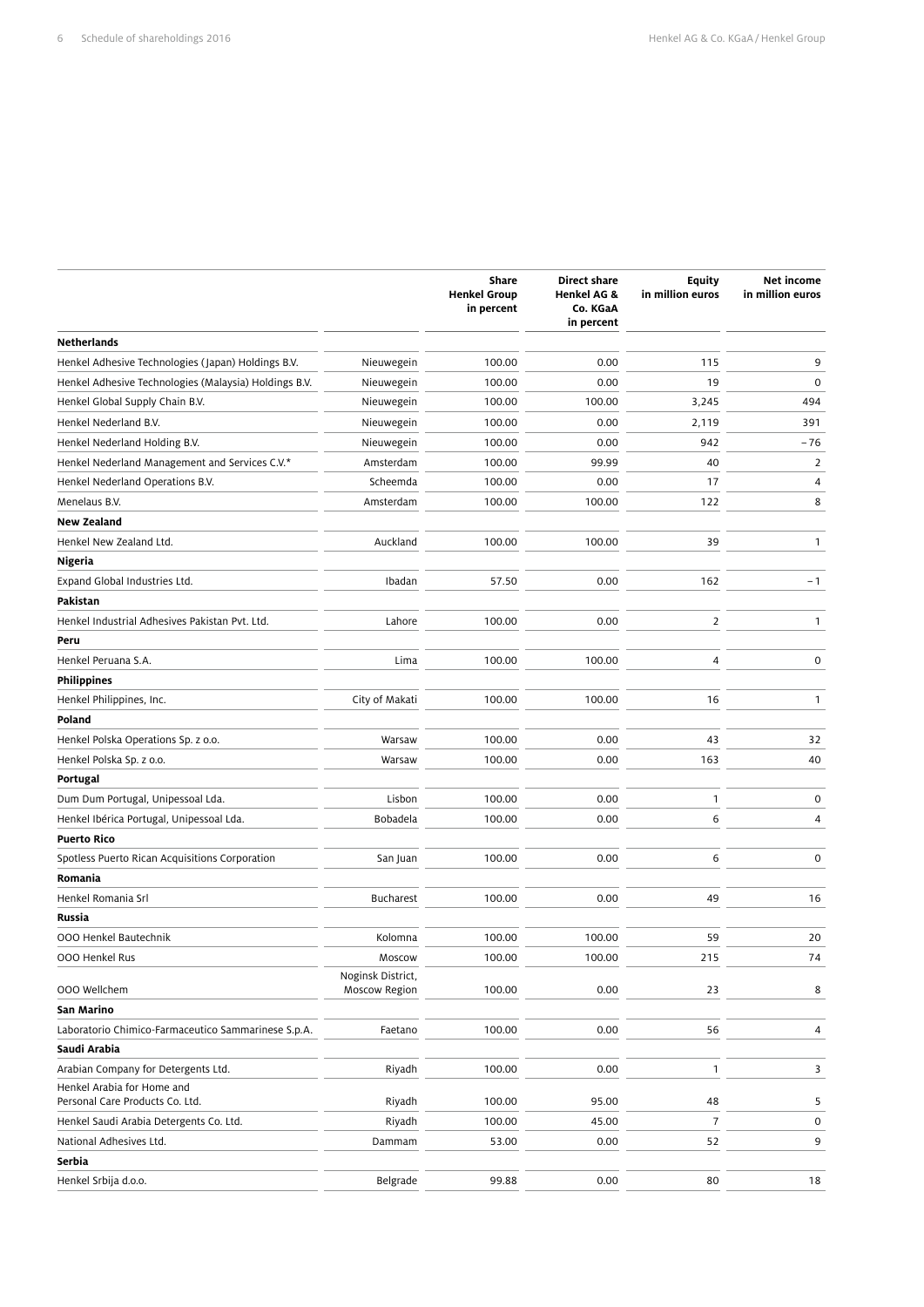|                                                       |                                    | Share<br><b>Henkel Group</b><br>in percent | <b>Direct share</b><br><b>Henkel AG &amp;</b><br>Co. KGaA<br>in percent | <b>Equity</b><br>in million euros | Net income<br>in million euros |
|-------------------------------------------------------|------------------------------------|--------------------------------------------|-------------------------------------------------------------------------|-----------------------------------|--------------------------------|
| <b>Netherlands</b>                                    |                                    |                                            |                                                                         |                                   |                                |
| Henkel Adhesive Technologies (Japan) Holdings B.V.    | Nieuwegein                         | 100.00                                     | 0.00                                                                    | 115                               | 9                              |
| Henkel Adhesive Technologies (Malaysia) Holdings B.V. | Nieuwegein                         | 100.00                                     | 0.00                                                                    | 19                                | $\mathbf 0$                    |
| Henkel Global Supply Chain B.V.                       | Nieuwegein                         | 100.00                                     | 100.00                                                                  | 3,245                             | 494                            |
| Henkel Nederland B.V.                                 | Nieuwegein                         | 100.00                                     | 0.00                                                                    | 2,119                             | 391                            |
| Henkel Nederland Holding B.V.                         | Nieuwegein                         | 100.00                                     | 0.00                                                                    | 942                               | $-76$                          |
| Henkel Nederland Management and Services C.V.*        | Amsterdam                          | 100.00                                     | 99.99                                                                   | 40                                | 2                              |
| Henkel Nederland Operations B.V.                      | Scheemda                           | 100.00                                     | 0.00                                                                    | 17                                | 4                              |
| Menelaus B.V.                                         | Amsterdam                          | 100.00                                     | 100.00                                                                  | 122                               | 8                              |
| <b>New Zealand</b>                                    |                                    |                                            |                                                                         |                                   |                                |
| Henkel New Zealand Ltd.                               | Auckland                           | 100.00                                     | 100.00                                                                  | 39                                | $\mathbf{1}$                   |
| Nigeria                                               |                                    |                                            |                                                                         |                                   |                                |
| Expand Global Industries Ltd.                         | Ibadan                             | 57.50                                      | 0.00                                                                    | 162                               | $-1$                           |
| Pakistan                                              |                                    |                                            |                                                                         |                                   |                                |
| Henkel Industrial Adhesives Pakistan Pvt. Ltd.        | Lahore                             | 100.00                                     | 0.00                                                                    | $\overline{2}$                    | 1                              |
| Peru                                                  |                                    |                                            |                                                                         |                                   |                                |
| Henkel Peruana S.A.                                   | Lima                               | 100.00                                     | 100.00                                                                  | 4                                 | 0                              |
| <b>Philippines</b>                                    |                                    |                                            |                                                                         |                                   |                                |
| Henkel Philippines, Inc.                              | City of Makati                     | 100.00                                     | 100.00                                                                  | 16                                | 1                              |
| Poland                                                |                                    |                                            |                                                                         |                                   |                                |
| Henkel Polska Operations Sp. z o.o.                   | Warsaw                             | 100.00                                     | 0.00                                                                    | 43                                | 32                             |
| Henkel Polska Sp. z o.o.                              | Warsaw                             | 100.00                                     | 0.00                                                                    | 163                               | 40                             |
| Portugal                                              |                                    |                                            |                                                                         |                                   |                                |
| Dum Dum Portugal, Unipessoal Lda.                     | Lisbon                             | 100.00                                     | 0.00                                                                    | 1                                 | $\mathbf 0$                    |
| Henkel Ibérica Portugal, Unipessoal Lda.              | Bobadela                           | 100.00                                     | 0.00                                                                    | 6                                 | 4                              |
| <b>Puerto Rico</b>                                    |                                    |                                            |                                                                         |                                   |                                |
| Spotless Puerto Rican Acquisitions Corporation        | San Juan                           | 100.00                                     | 0.00                                                                    | 6                                 | $\mathbf 0$                    |
| Romania                                               |                                    |                                            |                                                                         |                                   |                                |
| Henkel Romania Srl                                    | <b>Bucharest</b>                   | 100.00                                     | 0.00                                                                    | 49                                | 16                             |
| Russia                                                |                                    |                                            |                                                                         |                                   |                                |
| 000 Henkel Bautechnik                                 | Kolomna                            | 100.00                                     | 100.00                                                                  | 59                                | 20                             |
| 000 Henkel Rus                                        | Moscow                             | 100.00                                     | 100.00                                                                  | 215                               | 74                             |
| 000 Wellchem                                          | Noginsk District,<br>Moscow Region | 100.00                                     | 0.00                                                                    | 23                                | 8                              |
| San Marino                                            |                                    |                                            |                                                                         |                                   |                                |
| Laboratorio Chimico-Farmaceutico Sammarinese S.p.A.   | Faetano                            | 100.00                                     | 0.00                                                                    | 56                                | 4                              |
| Saudi Arabia                                          |                                    |                                            |                                                                         |                                   |                                |
| Arabian Company for Detergents Ltd.                   | Riyadh                             | 100.00                                     | 0.00                                                                    | $\mathbf{1}$                      | 3                              |
| Henkel Arabia for Home and                            |                                    |                                            |                                                                         |                                   |                                |
| Personal Care Products Co. Ltd.                       | Riyadh                             | 100.00                                     | 95.00                                                                   | 48                                | 5                              |
| Henkel Saudi Arabia Detergents Co. Ltd.               | Riyadh                             | 100.00                                     | 45.00                                                                   | $\overline{7}$                    | $\mathbf 0$                    |
| National Adhesives Ltd.                               | Dammam                             | 53.00                                      | 0.00                                                                    | 52                                | 9                              |
| Serbia                                                |                                    |                                            |                                                                         |                                   |                                |
| Henkel Srbija d.o.o.                                  | Belgrade                           | 99.88                                      | 0.00                                                                    | 80                                | 18                             |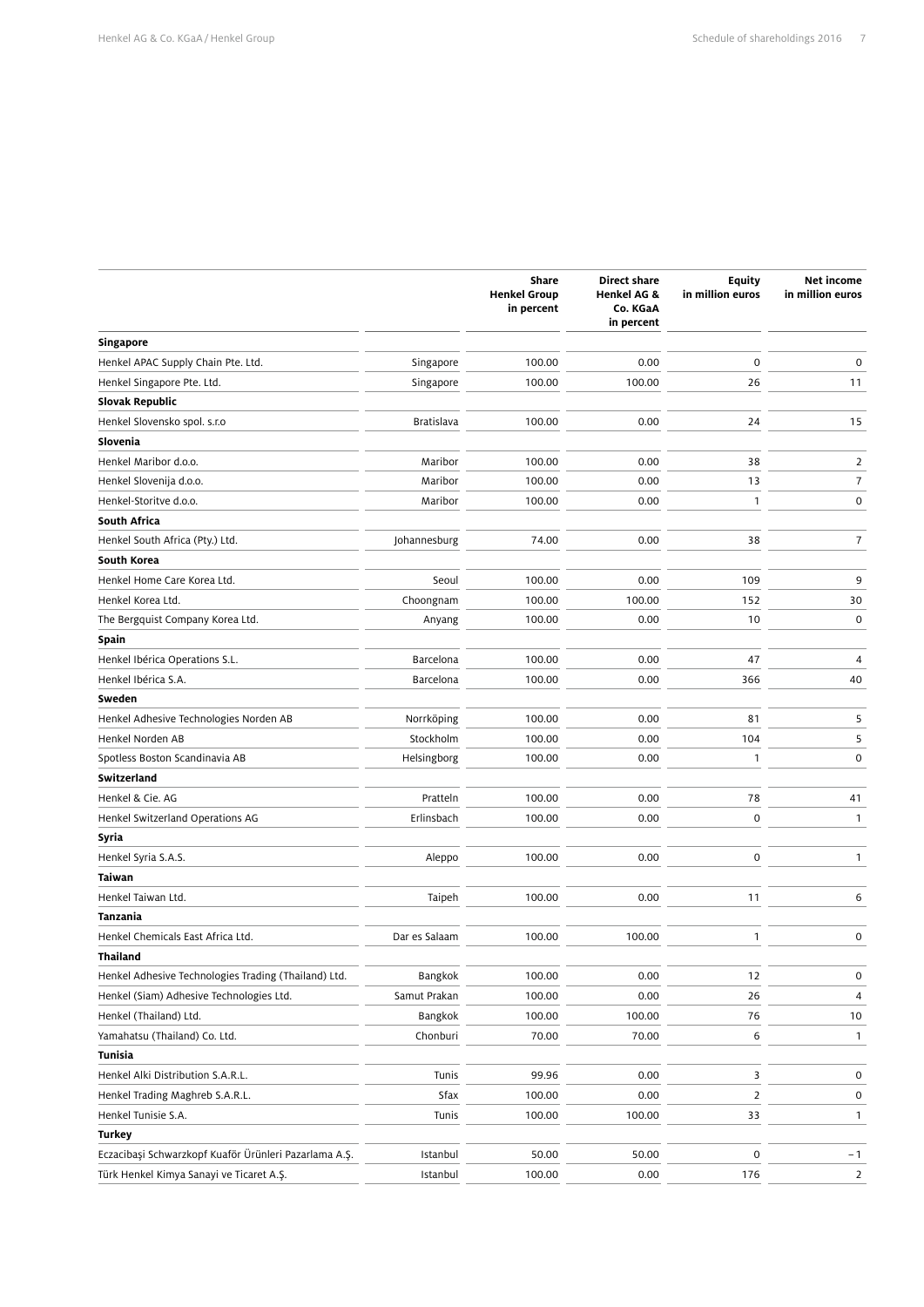|                                                       |               | Share<br><b>Henkel Group</b><br>in percent | <b>Direct share</b><br>Henkel AG &<br>Co. KGaA<br>in percent | <b>Equity</b><br>in million euros | Net income<br>in million euros |
|-------------------------------------------------------|---------------|--------------------------------------------|--------------------------------------------------------------|-----------------------------------|--------------------------------|
| <b>Singapore</b>                                      |               |                                            |                                                              |                                   |                                |
| Henkel APAC Supply Chain Pte. Ltd.                    | Singapore     | 100.00                                     | 0.00                                                         | 0                                 | 0                              |
| Henkel Singapore Pte. Ltd.                            | Singapore     | 100.00                                     | 100.00                                                       | 26                                | 11                             |
| Slovak Republic                                       |               |                                            |                                                              |                                   |                                |
| Henkel Slovensko spol. s.r.o                          | Bratislava    | 100.00                                     | 0.00                                                         | 24                                | 15                             |
| Slovenia                                              |               |                                            |                                                              |                                   |                                |
| Henkel Maribor d.o.o.                                 | Maribor       | 100.00                                     | 0.00                                                         | 38                                | $\overline{2}$                 |
| Henkel Slovenija d.o.o.                               | Maribor       | 100.00                                     | 0.00                                                         | 13                                | $\overline{7}$                 |
| Henkel-Storitve d.o.o.                                | Maribor       | 100.00                                     | 0.00                                                         | $\mathbf{1}$                      | $\mathsf 0$                    |
| South Africa                                          |               |                                            |                                                              |                                   |                                |
| Henkel South Africa (Pty.) Ltd.                       | Johannesburg  | 74.00                                      | 0.00                                                         | 38                                | $\overline{7}$                 |
| South Korea                                           |               |                                            |                                                              |                                   |                                |
| Henkel Home Care Korea Ltd.                           | Seoul         | 100.00                                     | 0.00                                                         | 109                               | 9                              |
| Henkel Korea Ltd.                                     | Choongnam     | 100.00                                     | 100.00                                                       | 152                               | 30                             |
| The Bergquist Company Korea Ltd.                      | Anyang        | 100.00                                     | 0.00                                                         | 10                                | $\mathbf 0$                    |
| Spain                                                 |               |                                            |                                                              |                                   |                                |
| Henkel Ibérica Operations S.L.                        | Barcelona     | 100.00                                     | 0.00                                                         | 47                                | 4                              |
| Henkel Ibérica S.A.                                   | Barcelona     | 100.00                                     | 0.00                                                         | 366                               | 40                             |
| Sweden                                                |               |                                            |                                                              |                                   |                                |
| Henkel Adhesive Technologies Norden AB                | Norrköping    | 100.00                                     | 0.00                                                         | 81                                | 5                              |
| Henkel Norden AB                                      | Stockholm     | 100.00                                     | 0.00                                                         | 104                               | 5                              |
| Spotless Boston Scandinavia AB                        | Helsingborg   | 100.00                                     | 0.00                                                         | 1                                 | 0                              |
| Switzerland                                           |               |                                            |                                                              |                                   |                                |
| Henkel & Cie. AG                                      | Pratteln      | 100.00                                     | 0.00                                                         | 78                                | 41                             |
| Henkel Switzerland Operations AG                      | Erlinsbach    | 100.00                                     | 0.00                                                         | 0                                 | $\mathbf{1}$                   |
| Syria                                                 |               |                                            |                                                              |                                   |                                |
| Henkel Syria S.A.S.                                   | Aleppo        | 100.00                                     | 0.00                                                         | $\pmb{0}$                         | 1                              |
| Taiwan                                                |               |                                            |                                                              |                                   |                                |
| Henkel Taiwan Ltd.                                    | Taipeh        | 100.00                                     | 0.00                                                         | 11                                | 6                              |
| Tanzania                                              |               |                                            |                                                              |                                   |                                |
| Henkel Chemicals East Africa Ltd.                     | Dar es Salaam | 100.00                                     | 100.00                                                       | 1                                 | $\pmb{0}$                      |
| Thailand                                              |               |                                            |                                                              |                                   |                                |
| Henkel Adhesive Technologies Trading (Thailand) Ltd.  | Bangkok       | 100.00                                     | 0.00                                                         | 12                                | $\pmb{0}$                      |
| Henkel (Siam) Adhesive Technologies Ltd.              | Samut Prakan  | 100.00                                     | 0.00                                                         | 26                                | 4                              |
| Henkel (Thailand) Ltd.                                | Bangkok       | 100.00                                     | 100.00                                                       | 76                                | 10                             |
| Yamahatsu (Thailand) Co. Ltd.                         | Chonburi      | 70.00                                      | 70.00                                                        | 6                                 | $\mathbf{1}$                   |
| Tunisia                                               |               |                                            |                                                              |                                   |                                |
| Henkel Alki Distribution S.A.R.L.                     | Tunis         | 99.96                                      | 0.00                                                         | 3                                 | $\mathsf{O}\xspace$            |
| Henkel Trading Maghreb S.A.R.L.                       | Sfax          | 100.00                                     | 0.00                                                         | 2                                 | 0                              |
| Henkel Tunisie S.A.                                   | Tunis         | 100.00                                     | 100.00                                                       | 33                                | $\mathbf{1}$                   |
| Turkey                                                |               |                                            |                                                              |                                   |                                |
| Eczacibaşi Schwarzkopf Kuaför Ürünleri Pazarlama A.Ş. | Istanbul      | 50.00                                      | 50.00                                                        | 0                                 | $-1$                           |
| Türk Henkel Kimya Sanayi ve Ticaret A.Ş.              | Istanbul      | 100.00                                     | 0.00                                                         | 176                               | $\overline{2}$                 |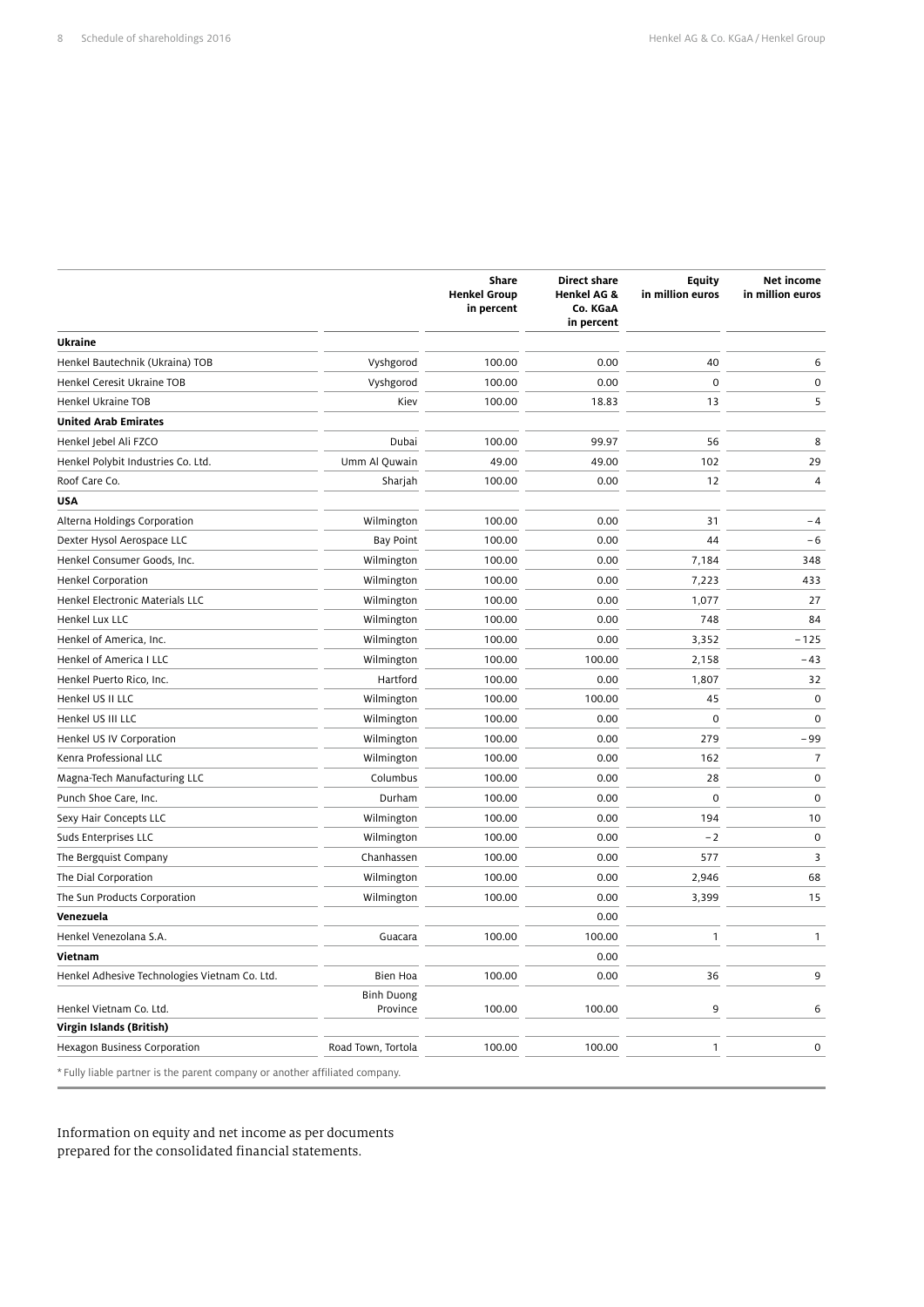|                                                                             |                               | <b>Share</b><br><b>Henkel Group</b><br>in percent | <b>Direct share</b><br><b>Henkel AG &amp;</b><br>Co. KGaA<br>in percent | <b>Equity</b><br>in million euros | Net income<br>in million euros |
|-----------------------------------------------------------------------------|-------------------------------|---------------------------------------------------|-------------------------------------------------------------------------|-----------------------------------|--------------------------------|
| Ukraine                                                                     |                               |                                                   |                                                                         |                                   |                                |
| Henkel Bautechnik (Ukraina) TOB                                             | Vyshgorod                     | 100.00                                            | 0.00                                                                    | 40                                | 6                              |
| Henkel Ceresit Ukraine TOB                                                  | Vyshgorod                     | 100.00                                            | 0.00                                                                    | $\mathbf 0$                       | $\mathbf 0$                    |
| Henkel Ukraine TOB                                                          | Kiev                          | 100.00                                            | 18.83                                                                   | 13                                | 5                              |
| <b>United Arab Emirates</b>                                                 |                               |                                                   |                                                                         |                                   |                                |
| Henkel Jebel Ali FZCO                                                       | Dubai                         | 100.00                                            | 99.97                                                                   | 56                                | 8                              |
| Henkel Polybit Industries Co. Ltd.                                          | Umm Al Quwain                 | 49.00                                             | 49.00                                                                   | 102                               | 29                             |
| Roof Care Co.                                                               | Sharjah                       | 100.00                                            | 0.00                                                                    | 12                                | $\overline{4}$                 |
| <b>USA</b>                                                                  |                               |                                                   |                                                                         |                                   |                                |
| Alterna Holdings Corporation                                                | Wilmington                    | 100.00                                            | 0.00                                                                    | 31                                | $-4$                           |
| Dexter Hysol Aerospace LLC                                                  | <b>Bay Point</b>              | 100.00                                            | 0.00                                                                    | 44                                | $-6$                           |
| Henkel Consumer Goods, Inc.                                                 | Wilmington                    | 100.00                                            | 0.00                                                                    | 7,184                             | 348                            |
| <b>Henkel Corporation</b>                                                   | Wilmington                    | 100.00                                            | 0.00                                                                    | 7,223                             | 433                            |
| Henkel Electronic Materials LLC                                             | Wilmington                    | 100.00                                            | 0.00                                                                    | 1,077                             | 27                             |
| Henkel Lux LLC                                                              | Wilmington                    | 100.00                                            | 0.00                                                                    | 748                               | 84                             |
| Henkel of America, Inc.                                                     | Wilmington                    | 100.00                                            | 0.00                                                                    | 3,352                             | $-125$                         |
| Henkel of America I LLC                                                     | Wilmington                    | 100.00                                            | 100.00                                                                  | 2,158                             | $-43$                          |
| Henkel Puerto Rico, Inc.                                                    | Hartford                      | 100.00                                            | 0.00                                                                    | 1,807                             | 32                             |
| Henkel US II LLC                                                            | Wilmington                    | 100.00                                            | 100.00                                                                  | 45                                | $\mathbf 0$                    |
| Henkel US III LLC                                                           | Wilmington                    | 100.00                                            | 0.00                                                                    | $\mathbf 0$                       | $\mathsf{O}\xspace$            |
| Henkel US IV Corporation                                                    | Wilmington                    | 100.00                                            | 0.00                                                                    | 279                               | $-99$                          |
| Kenra Professional LLC                                                      | Wilmington                    | 100.00                                            | 0.00                                                                    | 162                               | $\overline{7}$                 |
| Magna-Tech Manufacturing LLC                                                | Columbus                      | 100.00                                            | 0.00                                                                    | 28                                | $\mathbf 0$                    |
| Punch Shoe Care, Inc.                                                       | Durham                        | 100.00                                            | 0.00                                                                    | $\mathbf 0$                       | $\mathbf 0$                    |
| Sexy Hair Concepts LLC                                                      | Wilmington                    | 100.00                                            | 0.00                                                                    | 194                               | 10                             |
| Suds Enterprises LLC                                                        | Wilmington                    | 100.00                                            | 0.00                                                                    | $-2$                              | $\mathbf 0$                    |
| The Bergquist Company                                                       | Chanhassen                    | 100.00                                            | 0.00                                                                    | 577                               | 3                              |
| The Dial Corporation                                                        | Wilmington                    | 100.00                                            | 0.00                                                                    | 2,946                             | 68                             |
| The Sun Products Corporation                                                | Wilmington                    | 100.00                                            | 0.00                                                                    | 3,399                             | 15                             |
| Venezuela                                                                   |                               |                                                   | 0.00                                                                    |                                   |                                |
| Henkel Venezolana S.A.                                                      | Guacara                       | 100.00                                            | 100.00                                                                  | $\mathbf{1}$                      | $\mathbf{1}$                   |
| Vietnam                                                                     |                               |                                                   | 0.00                                                                    |                                   |                                |
| Henkel Adhesive Technologies Vietnam Co. Ltd.                               | Bien Hoa                      | 100.00                                            | 0.00                                                                    | 36                                | 9                              |
| Henkel Vietnam Co. Ltd.                                                     | <b>Binh Duong</b><br>Province | 100.00                                            | 100.00                                                                  | 9                                 | 6                              |
| Virgin Islands (British)                                                    |                               |                                                   |                                                                         |                                   |                                |
| Hexagon Business Corporation                                                | Road Town, Tortola            | 100.00                                            | 100.00                                                                  | 1                                 | 0                              |
| * Fully liable partner is the parent company or another affiliated company. |                               |                                                   |                                                                         |                                   |                                |

Information on equity and net income as per documents prepared for the consolidated financial statements.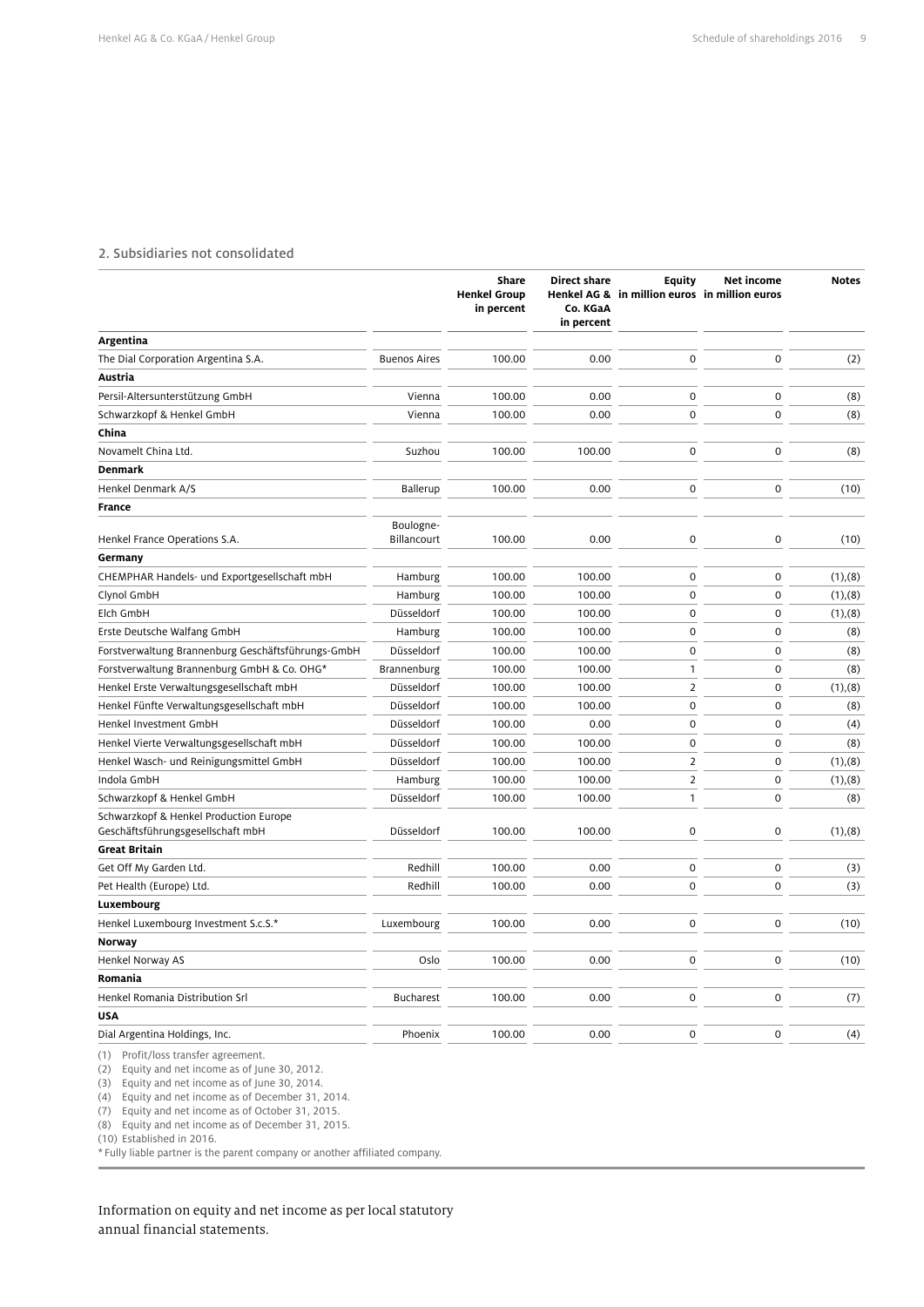#### 2. Subsidiaries not consolidated

|                                                                             |                     | Share<br><b>Henkel Group</b><br>in percent | <b>Direct share</b><br>Co. KGaA<br>in percent | <b>Equity</b><br>Henkel AG & in million euros in million euros | Net income  | <b>Notes</b>  |
|-----------------------------------------------------------------------------|---------------------|--------------------------------------------|-----------------------------------------------|----------------------------------------------------------------|-------------|---------------|
| Argentina                                                                   |                     |                                            |                                               |                                                                |             |               |
| The Dial Corporation Argentina S.A.                                         | <b>Buenos Aires</b> | 100.00                                     | 0.00                                          | $\mathbf 0$                                                    | $\mathbf 0$ | (2)           |
| Austria                                                                     |                     |                                            |                                               |                                                                |             |               |
| Persil-Altersunterstützung GmbH                                             | Vienna              | 100.00                                     | 0.00                                          | $\mathbf 0$                                                    | $\mathbf 0$ | (8)           |
| Schwarzkopf & Henkel GmbH                                                   | Vienna              | 100.00                                     | 0.00                                          | $\mathbf 0$                                                    | $\mathbf 0$ | (8)           |
| China                                                                       |                     |                                            |                                               |                                                                |             |               |
| Novamelt China Ltd.                                                         | Suzhou              | 100.00                                     | 100.00                                        | $\mathbf 0$                                                    | $\mathbf 0$ | (8)           |
| <b>Denmark</b>                                                              |                     |                                            |                                               |                                                                |             |               |
| Henkel Denmark A/S                                                          | Ballerup            | 100.00                                     | 0.00                                          | 0                                                              | $\mathbf 0$ | (10)          |
| <b>France</b>                                                               |                     |                                            |                                               |                                                                |             |               |
|                                                                             | Boulogne-           |                                            |                                               |                                                                |             |               |
| Henkel France Operations S.A.                                               | Billancourt         | 100.00                                     | 0.00                                          | $\mathsf{O}\xspace$                                            | $\mathbf 0$ | (10)          |
| Germany                                                                     |                     |                                            |                                               |                                                                |             |               |
| CHEMPHAR Handels- und Exportgesellschaft mbH                                | Hamburg             | 100.00                                     | 100.00                                        | $\mathbf 0$                                                    | $\mathbf 0$ | (1), (8)      |
| Clynol GmbH                                                                 | Hamburg             | 100.00                                     | 100.00                                        | $\mathbf 0$                                                    | $\mathbf 0$ | (1), (8)      |
| Elch GmbH                                                                   | Düsseldorf          | 100.00                                     | 100.00                                        | $\mathbf 0$                                                    | $\mathbf 0$ | (1), (8)      |
| Erste Deutsche Walfang GmbH                                                 | Hamburg             | 100.00                                     | 100.00                                        | $\mathbf 0$                                                    | $\mathbf 0$ | (8)           |
| Forstverwaltung Brannenburg Geschäftsführungs-GmbH                          | Düsseldorf          | 100.00                                     | 100.00                                        | $\mathbf 0$                                                    | $\mathbf 0$ | (8)           |
| Forstverwaltung Brannenburg GmbH & Co. OHG*                                 | Brannenburg         | 100.00                                     | 100.00                                        | $\mathbf{1}$                                                   | $\mathbf 0$ | (8)           |
| Henkel Erste Verwaltungsgesellschaft mbH                                    | Düsseldorf          | 100.00                                     | 100.00                                        | $\overline{2}$                                                 | $\mathbf 0$ | (1), (8)      |
| Henkel Fünfte Verwaltungsgesellschaft mbH                                   | Düsseldorf          | 100.00                                     | 100.00                                        | $\mathbf 0$                                                    | $\mathbf 0$ | (8)           |
| Henkel Investment GmbH                                                      | Düsseldorf          | 100.00                                     | 0.00                                          | $\mathbf 0$                                                    | $\mathbf 0$ | (4)           |
| Henkel Vierte Verwaltungsgesellschaft mbH                                   | Düsseldorf          | 100.00                                     | 100.00                                        | $\mathbf 0$                                                    | $\mathbf 0$ | (8)           |
| Henkel Wasch- und Reinigungsmittel GmbH                                     | Düsseldorf          | 100.00                                     | 100.00                                        | $\overline{2}$                                                 | $\mathbf 0$ | $(1)$ , $(8)$ |
| Indola GmbH                                                                 | Hamburg             | 100.00                                     | 100.00                                        | $\overline{2}$                                                 | $\mathbf 0$ | $(1)$ , $(8)$ |
| Schwarzkopf & Henkel GmbH                                                   | Düsseldorf          | 100.00                                     | 100.00                                        | $\mathbf{1}$                                                   | $\mathbf 0$ | (8)           |
| Schwarzkopf & Henkel Production Europe<br>Geschäftsführungsgesellschaft mbH | Düsseldorf          | 100.00                                     | 100.00                                        | $\mathbf 0$                                                    | $\mathbf 0$ | (1), (8)      |
| <b>Great Britain</b>                                                        |                     |                                            |                                               |                                                                |             |               |
| Get Off My Garden Ltd.                                                      | Redhill             | 100.00                                     | 0.00                                          | $\mathbf 0$                                                    | $\mathbf 0$ | (3)           |
| Pet Health (Europe) Ltd.                                                    | Redhill             | 100.00                                     | 0.00                                          | $\mathbf 0$                                                    | $\mathbf 0$ | (3)           |
| Luxembourg                                                                  |                     |                                            |                                               |                                                                |             |               |
| Henkel Luxembourg Investment S.c.S.*                                        | Luxembourg          | 100.00                                     | 0.00                                          | $\mathbf 0$                                                    | $\mathbf 0$ | (10)          |
| Norway                                                                      |                     |                                            |                                               |                                                                |             |               |
| Henkel Norway AS                                                            | Oslo                | 100.00                                     | 0.00                                          | $\mathbf 0$                                                    | $\mathbf 0$ | (10)          |
| Romania                                                                     |                     |                                            |                                               |                                                                |             |               |
| Henkel Romania Distribution Srl                                             | <b>Bucharest</b>    | 100.00                                     | 0.00                                          | $\mathbf 0$                                                    | $\mathbf 0$ | (7)           |
| <b>USA</b>                                                                  |                     |                                            |                                               |                                                                |             |               |
| Dial Argentina Holdings, Inc.                                               | Phoenix             | 100.00                                     | 0.00                                          | $\mathbf 0$                                                    | $\mathbf 0$ | (4)           |
| (1) Profit/loss transfer agreement.                                         |                     |                                            |                                               |                                                                |             |               |

(2) Equity and net income as of June 30, 2012.

(3) Equity and net income as of June 30, 2014.

(4) Equity and net income as of December 31, 2014.

(7) Equity and net income as of October 31, 2015. (8) Equity and net income as of December 31, 2015.

(10) Established in 2016.

\* Fully liable partner is the parent company or another affiliated company.

Information on equity and net income as per local statutory annual financial statements.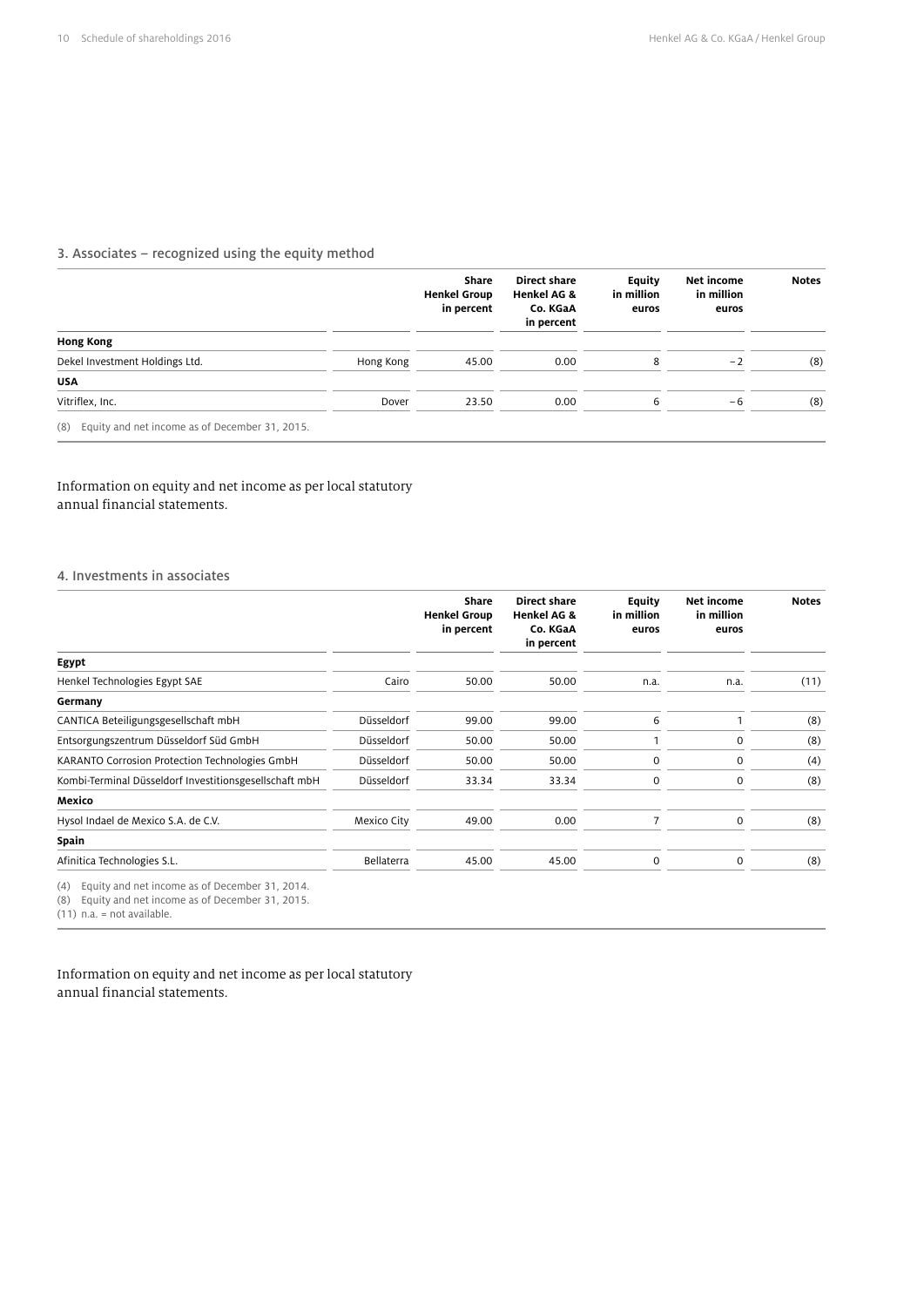## 3. Associates – recognized using the equity method

|                                                       |           | Share<br><b>Henkel Group</b><br>in percent | Direct share<br><b>Henkel AG &amp;</b><br>Co. KGaA<br>in percent | Equity<br>in million<br>euros | Net income<br>in million<br>euros | <b>Notes</b> |
|-------------------------------------------------------|-----------|--------------------------------------------|------------------------------------------------------------------|-------------------------------|-----------------------------------|--------------|
| <b>Hong Kong</b>                                      |           |                                            |                                                                  |                               |                                   |              |
| Dekel Investment Holdings Ltd.                        | Hong Kong | 45.00                                      | 0.00                                                             | 8                             | $-2$                              | (8)          |
| <b>USA</b>                                            |           |                                            |                                                                  |                               |                                   |              |
| Vitriflex, Inc.                                       | Dover     | 23.50                                      | 0.00                                                             | 6                             | $-6$                              | (8)          |
| Equity and net income as of December 31, 2015.<br>(8) |           |                                            |                                                                  |                               |                                   |              |

# Information on equity and net income as per local statutory annual financial statements.

#### 4. Investments in associates

|                                                                                                                |                   | Share<br><b>Henkel Group</b><br>in percent | Direct share<br><b>Henkel AG &amp;</b><br>Co. KGaA<br>in percent | Equity<br>in million<br>euros | Net income<br>in million<br>euros | <b>Notes</b> |
|----------------------------------------------------------------------------------------------------------------|-------------------|--------------------------------------------|------------------------------------------------------------------|-------------------------------|-----------------------------------|--------------|
| Egypt                                                                                                          |                   |                                            |                                                                  |                               |                                   |              |
| Henkel Technologies Egypt SAE                                                                                  | Cairo             | 50.00                                      | 50.00                                                            | n.a.                          | n.a.                              | (11)         |
| Germany                                                                                                        |                   |                                            |                                                                  |                               |                                   |              |
| CANTICA Beteiligungsgesellschaft mbH                                                                           | Düsseldorf        | 99.00                                      | 99.00                                                            | 6                             |                                   | (8)          |
| Entsorgungszentrum Düsseldorf Süd GmbH                                                                         | Düsseldorf        | 50.00                                      | 50.00                                                            |                               | 0                                 | (8)          |
| KARANTO Corrosion Protection Technologies GmbH                                                                 | Düsseldorf        | 50.00                                      | 50.00                                                            | $\mathbf 0$                   | $\mathbf 0$                       | (4)          |
| Kombi-Terminal Düsseldorf Investitionsgesellschaft mbH                                                         | Düsseldorf        | 33.34                                      | 33.34                                                            | $\mathbf 0$                   | $\mathbf 0$                       | (8)          |
| Mexico                                                                                                         |                   |                                            |                                                                  |                               |                                   |              |
| Hysol Indael de Mexico S.A. de C.V.                                                                            | Mexico City       | 49.00                                      | 0.00                                                             | $\overline{7}$                | $\mathbf 0$                       | (8)          |
| Spain                                                                                                          |                   |                                            |                                                                  |                               |                                   |              |
| Afinitica Technologies S.L.                                                                                    | <b>Bellaterra</b> | 45.00                                      | 45.00                                                            | $\mathbf 0$                   | $\mathbf 0$                       | (8)          |
| Equity and net income as of December 31, 2014.<br>(4)<br>Equity and net income as of December 31, 2015.<br>(8) |                   |                                            |                                                                  |                               |                                   |              |

(11) n.a. = not available.

Information on equity and net income as per local statutory annual financial statements.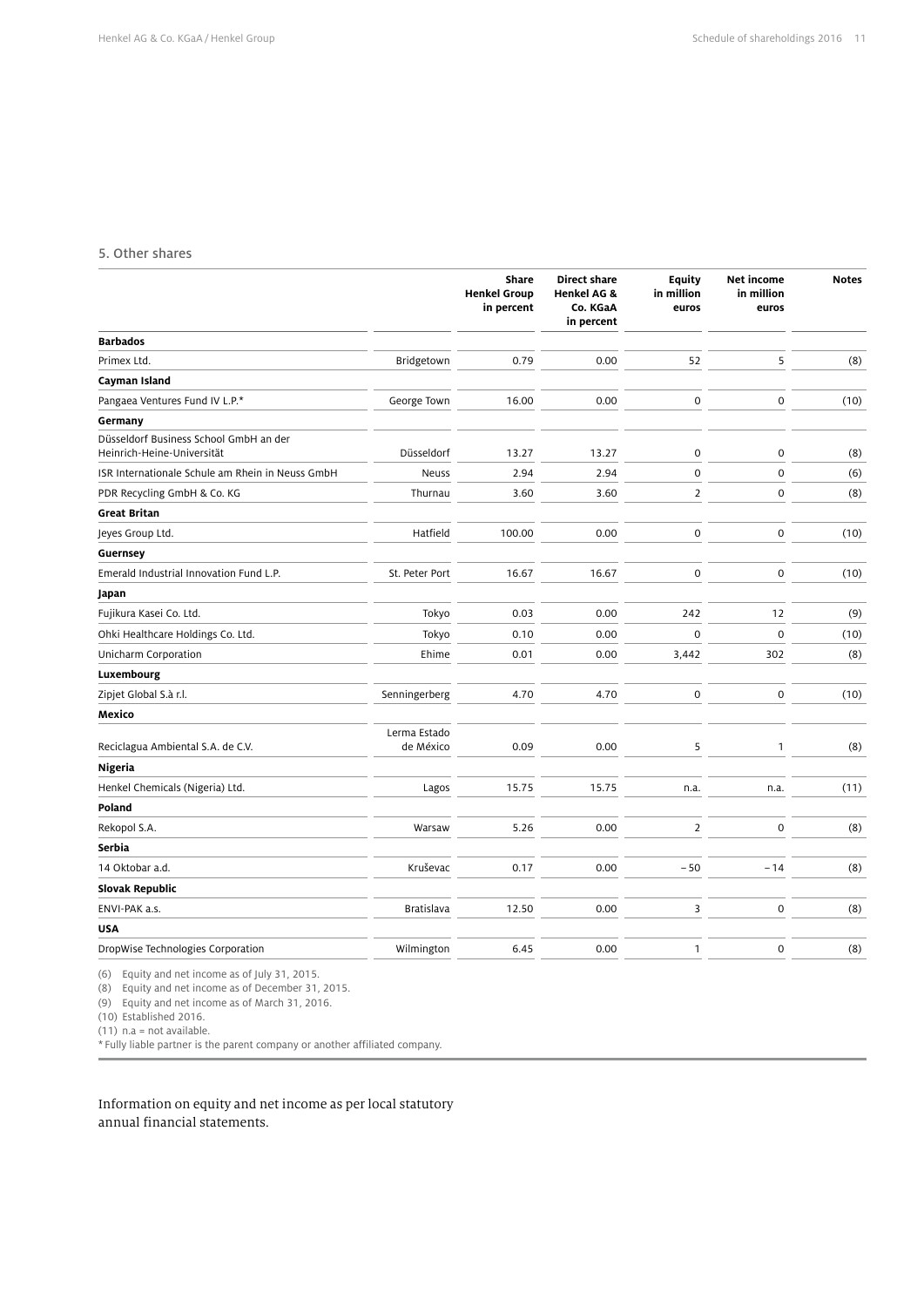#### 5. Other shares

|                                                                      |                           | Share<br><b>Henkel Group</b><br>in percent | <b>Direct share</b><br>Henkel AG &<br>Co. KGaA<br>in percent | <b>Equity</b><br>in million<br>euros | Net income<br>in million<br>euros | <b>Notes</b> |
|----------------------------------------------------------------------|---------------------------|--------------------------------------------|--------------------------------------------------------------|--------------------------------------|-----------------------------------|--------------|
| <b>Barbados</b>                                                      |                           |                                            |                                                              |                                      |                                   |              |
| Primex Ltd.                                                          | Bridgetown                | 0.79                                       | 0.00                                                         | 52                                   | 5                                 | (8)          |
| Cayman Island                                                        |                           |                                            |                                                              |                                      |                                   |              |
| Pangaea Ventures Fund IV L.P.*                                       | George Town               | 16.00                                      | 0.00                                                         | $\mathsf 0$                          | $\mathbf 0$                       | (10)         |
| Germany                                                              |                           |                                            |                                                              |                                      |                                   |              |
| Düsseldorf Business School GmbH an der<br>Heinrich-Heine-Universität | Düsseldorf                | 13.27                                      | 13.27                                                        | $\pmb{0}$                            | $\mathbf 0$                       | (8)          |
| ISR Internationale Schule am Rhein in Neuss GmbH                     | <b>Neuss</b>              | 2.94                                       | 2.94                                                         | $\pmb{0}$                            | $\mathbf 0$                       | (6)          |
| PDR Recycling GmbH & Co. KG                                          | Thurnau                   | 3.60                                       | 3.60                                                         | $\overline{2}$                       | $\mathbf 0$                       | (8)          |
| <b>Great Britan</b>                                                  |                           |                                            |                                                              |                                      |                                   |              |
| Jeyes Group Ltd.                                                     | Hatfield                  | 100.00                                     | 0.00                                                         | $\mathsf 0$                          | $\mathbf 0$                       | (10)         |
| Guernsey                                                             |                           |                                            |                                                              |                                      |                                   |              |
| Emerald Industrial Innovation Fund L.P.                              | St. Peter Port            | 16.67                                      | 16.67                                                        | $\mathbf 0$                          | $\mathbf 0$                       | (10)         |
| Japan                                                                |                           |                                            |                                                              |                                      |                                   |              |
| Fujikura Kasei Co. Ltd.                                              | Tokyo                     | 0.03                                       | 0.00                                                         | 242                                  | 12                                | (9)          |
| Ohki Healthcare Holdings Co. Ltd.                                    | Tokyo                     | 0.10                                       | 0.00                                                         | 0                                    | $\mathbf 0$                       | (10)         |
| Unicharm Corporation                                                 | Ehime                     | 0.01                                       | 0.00                                                         | 3,442                                | 302                               | (8)          |
| Luxembourg                                                           |                           |                                            |                                                              |                                      |                                   |              |
| Zipjet Global S.à r.l.                                               | Senningerberg             | 4.70                                       | 4.70                                                         | $\mathsf{O}\xspace$                  | $\mathbf 0$                       | (10)         |
| Mexico                                                               |                           |                                            |                                                              |                                      |                                   |              |
| Reciclagua Ambiental S.A. de C.V.                                    | Lerma Estado<br>de México | 0.09                                       | 0.00                                                         | 5                                    | $\mathbf{1}$                      | (8)          |
| Nigeria                                                              |                           |                                            |                                                              |                                      |                                   |              |
| Henkel Chemicals (Nigeria) Ltd.                                      | Lagos                     | 15.75                                      | 15.75                                                        | n.a.                                 | n.a.                              | (11)         |
| Poland                                                               |                           |                                            |                                                              |                                      |                                   |              |
| Rekopol S.A.                                                         | Warsaw                    | 5.26                                       | 0.00                                                         | $\overline{2}$                       | $\mathbf 0$                       | (8)          |
| Serbia                                                               |                           |                                            |                                                              |                                      |                                   |              |
| 14 Oktobar a.d.                                                      | Kruševac                  | 0.17                                       | 0.00                                                         | $-50$                                | $-14$                             | (8)          |
| <b>Slovak Republic</b>                                               |                           |                                            |                                                              |                                      |                                   |              |
| ENVI-PAK a.s.                                                        | <b>Bratislava</b>         | 12.50                                      | 0.00                                                         | 3                                    | $\mathbf 0$                       | (8)          |
| <b>USA</b>                                                           |                           |                                            |                                                              |                                      |                                   |              |
| DropWise Technologies Corporation                                    | Wilmington                | 6.45                                       | 0.00                                                         | 1                                    | $\mathbf 0$                       | (8)          |
|                                                                      |                           |                                            |                                                              |                                      |                                   |              |

(6) Equity and net income as of July 31, 2015.

(8) Equity and net income as of December 31, 2015.

(9) Equity and net income as of March 31, 2016.

(10) Established 2016. (11) n.a = not available.

\* Fully liable partner is the parent company or another affiliated company.

Information on equity and net income as per local statutory annual financial statements.